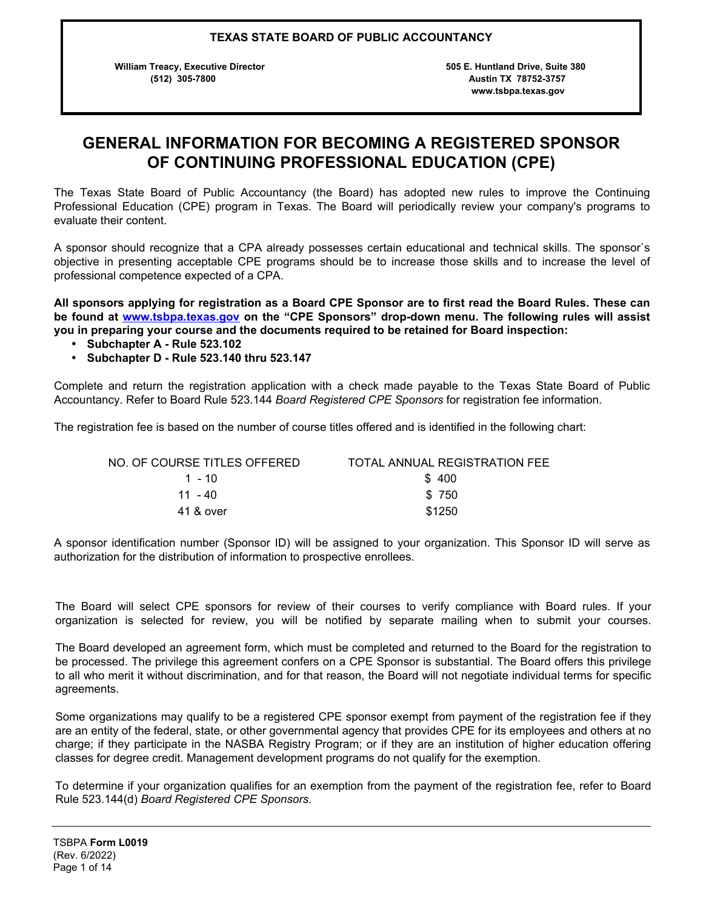**William Treacy, Executive Director 505 E. Huntland Drive, Suite 380** 

 **(512) 305-7800 Austin TX 78752-3757 www.tsbpa.texas.gov**

# **GENERAL INFORMATION FOR BECOMING A REGISTERED SPONSOR OF CONTINUING PROFESSIONAL EDUCATION (CPE)**

The Texas State Board of Public Accountancy (the Board) has adopted new rules to improve the Continuing Professional Education (CPE) program in Texas. The Board will periodically review your company's programs to evaluate their content.

A sponsor should recognize that a CPA already possesses certain educational and technical skills. The sponsor`s objective in presenting acceptable CPE programs should be to increase those skills and to increase the level of professional competence expected of a CPA.

**All sponsors applying for registration as a Board CPE Sponsor are to first read the Board Rules. These can be found at <www.tsbpa.texas.gov> on the "CPE Sponsors" drop-down menu. The following rules will assist you in preparing your course and the documents required to be retained for Board inspection:** 

- **Subchapter A Rule 523.102**
- **Subchapter D Rule 523.140 thru 523.147**

Complete and return the registration application with a check made payable to the Texas State Board of Public Accountancy. Refer to Board Rule 523.144 *Board Registered CPE Sponsors* for registration fee information.

The registration fee is based on the number of course titles offered and is identified in the following chart:

| NO. OF COURSE TITLES OFFERED | TOTAL ANNUAL REGISTRATION FEE |
|------------------------------|-------------------------------|
| 1 - 10                       | \$400                         |
| 11 - 40                      | \$750                         |
| 41 & over                    | \$1250                        |

A sponsor identification number (Sponsor ID) will be assigned to your organization. This Sponsor ID will serve as authorization for the distribution of information to prospective enrollees.

The Board will select CPE sponsors for review of their courses to verify compliance with Board rules. If your organization is selected for review, you will be notified by separate mailing when to submit your courses.

The Board developed an agreement form, which must be completed and returned to the Board for the registration to be processed. The privilege this agreement confers on a CPE Sponsor is substantial. The Board offers this privilege to all who merit it without discrimination, and for that reason, the Board will not negotiate individual terms for specific agreements.

Some organizations may qualify to be a registered CPE sponsor exempt from payment of the registration fee if they are an entity of the federal, state, or other governmental agency that provides CPE for its employees and others at no charge; if they participate in the NASBA Registry Program; or if they are an institution of higher education offering classes for degree credit. Management development programs do not qualify for the exemption.

To determine if your organization qualifies for an exemption from the payment of the registration fee, refer to Board Rule 523.144(d) *Board Registered CPE Sponsors*.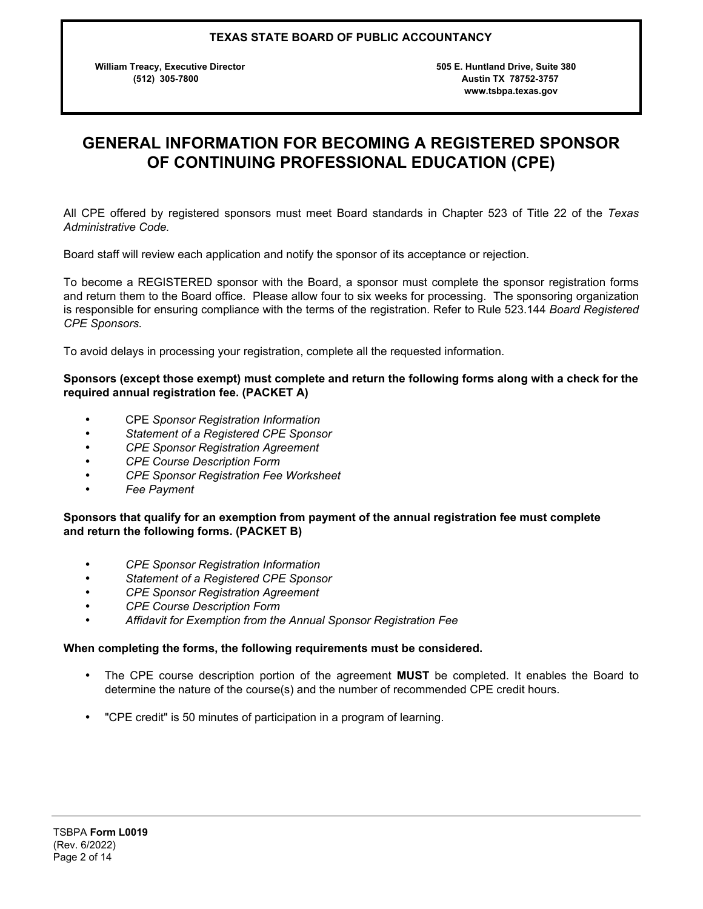**William Treacy, Executive Director 505 E. Huntland Drive, Suite 380** 

 **(512) 305-7800 Austin TX 78752-3757 www.tsbpa.texas.gov**

# **GENERAL INFORMATION FOR BECOMING A REGISTERED SPONSOR OF CONTINUING PROFESSIONAL EDUCATION (CPE)**

All CPE offered by registered sponsors must meet Board standards in Chapter 523 of Title 22 of the *Texas Administrative Code.*

Board staff will review each application and notify the sponsor of its acceptance or rejection.

To become a REGISTERED sponsor with the Board, a sponsor must complete the sponsor registration forms and return them to the Board office. Please allow four to six weeks for processing. The sponsoring organization is responsible for ensuring compliance with the terms of the registration. Refer to Rule 523.144 *Board Registered CPE Sponsors.*

To avoid delays in processing your registration, complete all the requested information.

### **Sponsors (except those exempt) must complete and return the following forms along with a check for the required annual registration fee. (PACKET A)**

- CPE *Sponsor Registration Information*
- *Statement of a Registered CPE Sponsor*
- *CPE Sponsor Registration Agreement*
- *CPE Course Description Form*
- *CPE Sponsor Registration Fee Worksheet*
- *Fee Payment*

### **Sponsors that qualify for an exemption from payment of the annual registration fee must complete and return the following forms. (PACKET B)**

- *CPE Sponsor Registration Information*
- *Statement of a Registered CPE Sponsor*
- *CPE Sponsor Registration Agreement*
- *CPE Course Description Form*
- *Affidavit for Exemption from the Annual Sponsor Registration Fee*

#### **When completing the forms, the following requirements must be considered.**

- The CPE course description portion of the agreement **MUST** be completed. It enables the Board to determine the nature of the course(s) and the number of recommended CPE credit hours.
- "CPE credit" is 50 minutes of participation in a program of learning.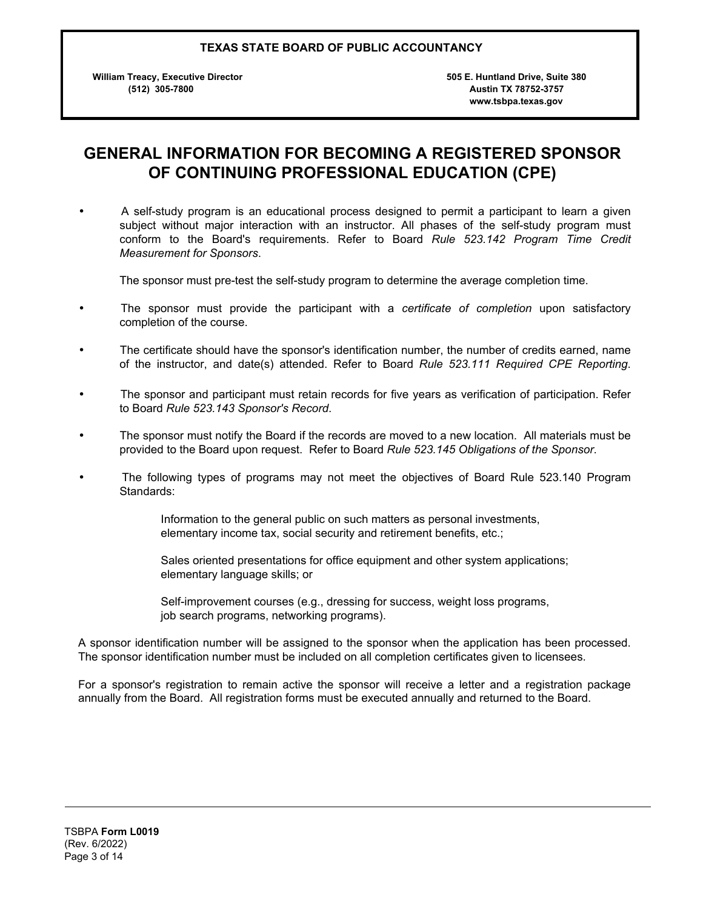**William Treacy, Executive Director 505 E. Huntland Drive, Suite 380** 

 **(512) 305-7800 Austin TX 78752-3757 www.tsbpa.texas.gov**

## **GENERAL INFORMATION FOR BECOMING A REGISTERED SPONSOR OF CONTINUING PROFESSIONAL EDUCATION (CPE)**

• A self-study program is an educational process designed to permit a participant to learn a given subject without major interaction with an instructor. All phases of the self-study program must conform to the Board's requirements. Refer to Board *Rule 523.142 Program Time Credit Measurement for Sponsors*.

The sponsor must pre-test the self-study program to determine the average completion time.

- The sponsor must provide the participant with a *certificate of completion* upon satisfactory completion of the course.
- The certificate should have the sponsor's identification number, the number of credits earned, name of the instructor, and date(s) attended. Refer to Board *Rule 523.111 Required CPE Reporting*.
- The sponsor and participant must retain records for five years as verification of participation. Refer to Board *Rule 523.143 Sponsor's Record*.
- The sponsor must notify the Board if the records are moved to a new location. All materials must be provided to the Board upon request. Refer to Board *Rule 523.145 Obligations of the Sponsor*.
- The following types of programs may not meet the objectives of Board Rule 523.140 Program Standards:

Information to the general public on such matters as personal investments, elementary income tax, social security and retirement benefits, etc.;

Sales oriented presentations for office equipment and other system applications; elementary language skills; or

Self-improvement courses (e.g., dressing for success, weight loss programs, job search programs, networking programs).

A sponsor identification number will be assigned to the sponsor when the application has been processed. The sponsor identification number must be included on all completion certificates given to licensees.

For a sponsor's registration to remain active the sponsor will receive a letter and a registration package annually from the Board. All registration forms must be executed annually and returned to the Board.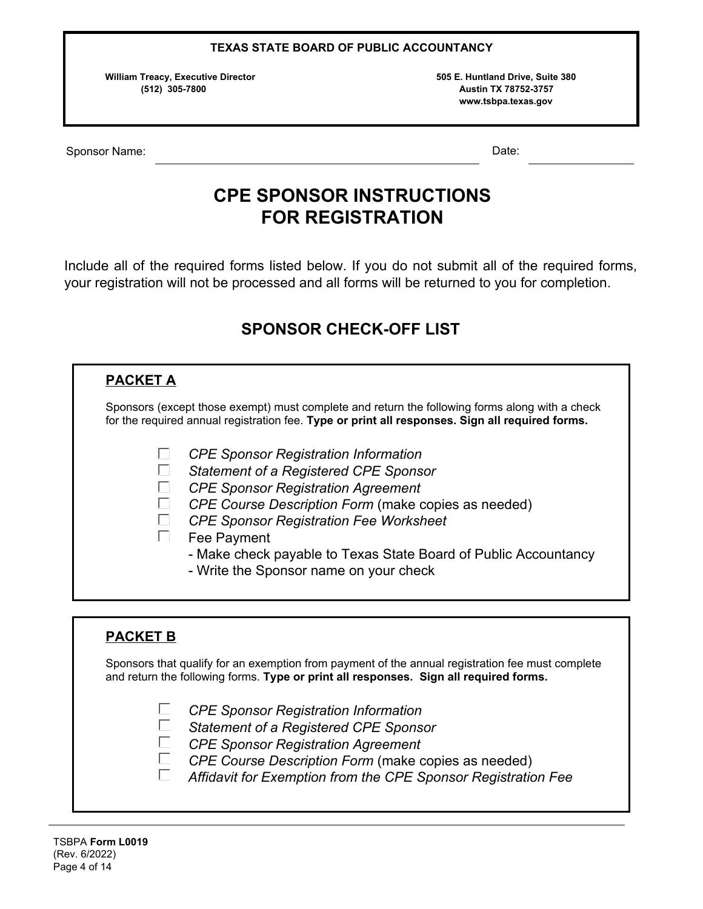**William Treacy, Executive Director 505 E. Huntland Drive, Suite 380** 

 **(512) 305-7800 Austin TX 78752-3757 www.tsbpa.texas.gov**

Sponsor Name: Date: Date: Date: Date: Date: Date: Date: Date: Date: Date: Date: Date: Date: Date: Date: Date: Date: Date: Date: Date: Date: Date: Date: Date: Date: Date: Date: Date: Date: Date: Date: Date: Date: Date: Date

# **CPE SPONSOR INSTRUCTIONS FOR REGISTRATION**

Include all of the required forms listed below. If you do not submit all of the required forms, your registration will not be processed and all forms will be returned to you for completion.

# **SPONSOR CHECK-OFF LIST**

| <b>PACKET A</b> |                                                                                                                                                                                                                                                                                                                                                                       |  |  |  |  |  |  |  |  |
|-----------------|-----------------------------------------------------------------------------------------------------------------------------------------------------------------------------------------------------------------------------------------------------------------------------------------------------------------------------------------------------------------------|--|--|--|--|--|--|--|--|
|                 | Sponsors (except those exempt) must complete and return the following forms along with a check<br>for the required annual registration fee. Type or print all responses. Sign all required forms.                                                                                                                                                                     |  |  |  |  |  |  |  |  |
|                 | <b>CPE Sponsor Registration Information</b><br>Statement of a Registered CPE Sponsor<br><b>CPE Sponsor Registration Agreement</b><br>CPE Course Description Form (make copies as needed)<br><b>CPE Sponsor Registration Fee Worksheet</b><br>Fee Payment<br>- Make check payable to Texas State Board of Public Accountancy<br>- Write the Sponsor name on your check |  |  |  |  |  |  |  |  |

# **PACKET B**

Sponsors that qualify for an exemption from payment of the annual registration fee must complete and return the following forms. **Type or print all responses. Sign all required forms.**

- $\Box$ *CPE Sponsor Registration Information*
- П *Statement of a Registered CPE Sponsor*
- $\Box$ *CPE Sponsor Registration Agreement*
- $\Box$ *CPE Course Description Form* (make copies as needed)
- $\Box$ *Affidavit for Exemption from the CPE Sponsor Registration Fee*

֞֡֡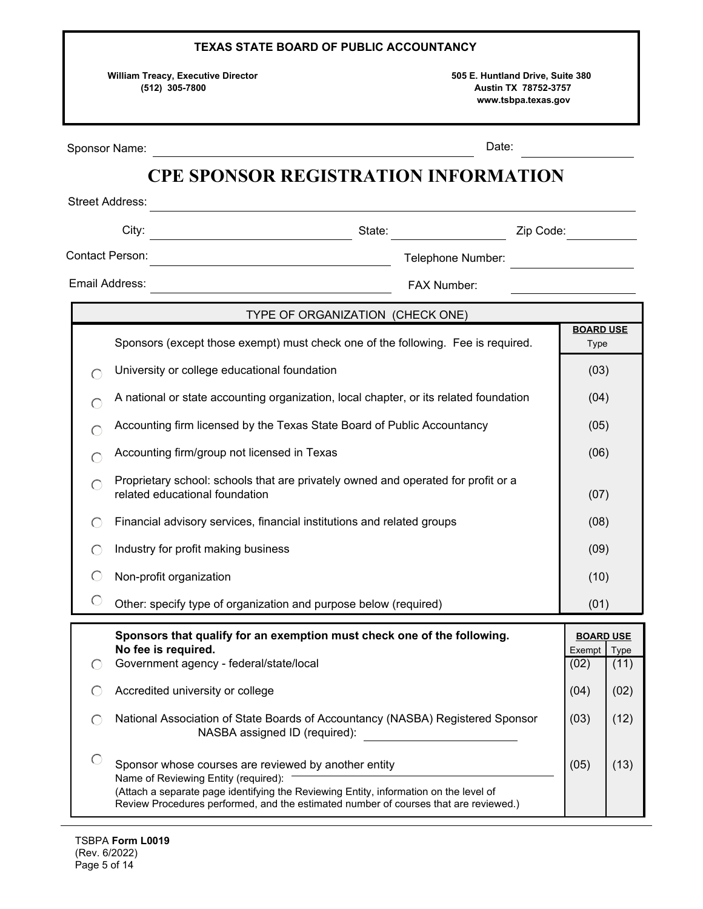| <b>TEXAS STATE BOARD OF PUBLIC ACCOUNTANCY</b>                                                                                                        |                                                                                                                                                                                                                                                                               |                     |      |  |  |  |  |
|-------------------------------------------------------------------------------------------------------------------------------------------------------|-------------------------------------------------------------------------------------------------------------------------------------------------------------------------------------------------------------------------------------------------------------------------------|---------------------|------|--|--|--|--|
| <b>William Treacy, Executive Director</b><br>505 E. Huntland Drive, Suite 380<br>(512) 305-7800<br><b>Austin TX 78752-3757</b><br>www.tsbpa.texas.gov |                                                                                                                                                                                                                                                                               |                     |      |  |  |  |  |
| Date:<br>Sponsor Name:                                                                                                                                |                                                                                                                                                                                                                                                                               |                     |      |  |  |  |  |
|                                                                                                                                                       | <b>CPE SPONSOR REGISTRATION INFORMATION</b>                                                                                                                                                                                                                                   |                     |      |  |  |  |  |
| <b>Street Address:</b>                                                                                                                                |                                                                                                                                                                                                                                                                               |                     |      |  |  |  |  |
| Contact Person:                                                                                                                                       | City:<br>State: Executive State:<br>Zip Code:<br><u> 1980 - Johann Barn, mars an t-Amerikaansk komponister (</u><br>Telephone Number:                                                                                                                                         |                     |      |  |  |  |  |
| Email Address:                                                                                                                                        | <u> 1980 - Johann Barbara, martxa a</u><br>FAX Number:                                                                                                                                                                                                                        |                     |      |  |  |  |  |
|                                                                                                                                                       | the control of the control of the control of the control of the control of                                                                                                                                                                                                    |                     |      |  |  |  |  |
|                                                                                                                                                       | TYPE OF ORGANIZATION (CHECK ONE)<br>Sponsors (except those exempt) must check one of the following. Fee is required.                                                                                                                                                          | <b>BOARD USE</b>    |      |  |  |  |  |
|                                                                                                                                                       |                                                                                                                                                                                                                                                                               | <b>Type</b><br>(03) |      |  |  |  |  |
| University or college educational foundation<br>$\subset$<br>A national or state accounting organization, local chapter, or its related foundation    |                                                                                                                                                                                                                                                                               |                     |      |  |  |  |  |
|                                                                                                                                                       | Accounting firm licensed by the Texas State Board of Public Accountancy                                                                                                                                                                                                       | (04)<br>(05)        |      |  |  |  |  |
|                                                                                                                                                       | Accounting firm/group not licensed in Texas                                                                                                                                                                                                                                   | (06)                |      |  |  |  |  |
|                                                                                                                                                       | Proprietary school: schools that are privately owned and operated for profit or a<br>related educational foundation                                                                                                                                                           | (07)                |      |  |  |  |  |
| ◯                                                                                                                                                     | Financial advisory services, financial institutions and related groups                                                                                                                                                                                                        | (08)                |      |  |  |  |  |
|                                                                                                                                                       | Industry for profit making business                                                                                                                                                                                                                                           | (09)                |      |  |  |  |  |
| ⊖                                                                                                                                                     | Non-profit organization                                                                                                                                                                                                                                                       | (10)                |      |  |  |  |  |
| $\bigcirc$                                                                                                                                            | Other: specify type of organization and purpose below (required)                                                                                                                                                                                                              | (01)                |      |  |  |  |  |
| Sponsors that qualify for an exemption must check one of the following.<br>No fee is required.<br>Government agency - federal/state/local<br>⊖        |                                                                                                                                                                                                                                                                               |                     |      |  |  |  |  |
| C                                                                                                                                                     | Accredited university or college                                                                                                                                                                                                                                              | (04)                | (02) |  |  |  |  |
| O                                                                                                                                                     | National Association of State Boards of Accountancy (NASBA) Registered Sponsor<br>NASBA assigned ID (required):                                                                                                                                                               | (03)                | (12) |  |  |  |  |
|                                                                                                                                                       | Sponsor whose courses are reviewed by another entity<br>Name of Reviewing Entity (required):<br>(Attach a separate page identifying the Reviewing Entity, information on the level of<br>Review Procedures performed, and the estimated number of courses that are reviewed.) | (05)                | (13) |  |  |  |  |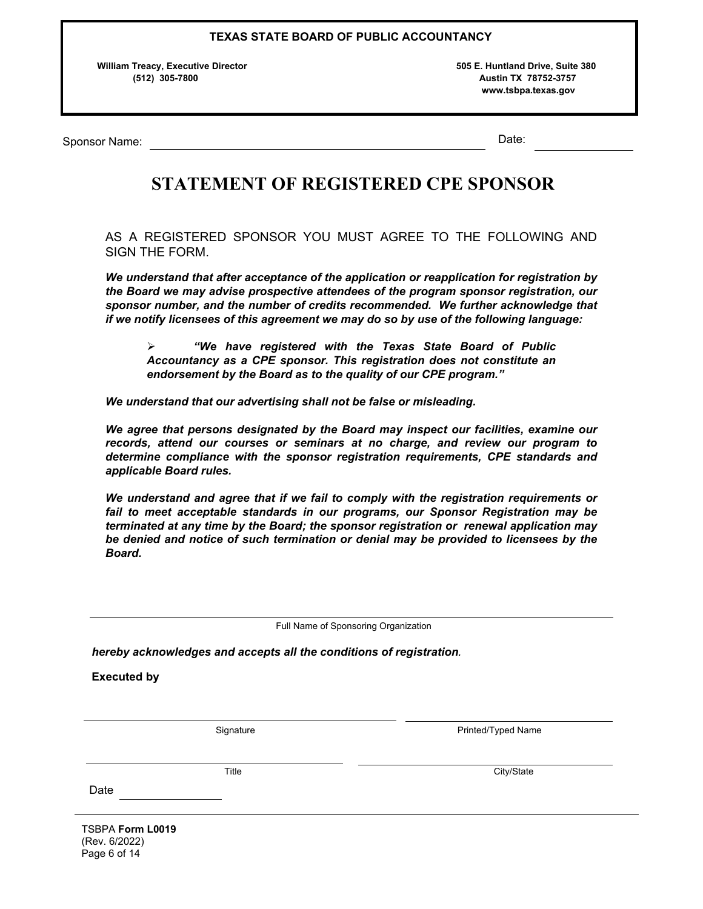**William Treacy, Executive Director 505 E. Huntland Drive, Suite 380** 

 **(512) 305-7800 Austin TX 78752-3757 www.tsbpa.texas.gov**

Sponsor Name: Date: Date: Date: Date: Date: Date: Date: Date: Date: Date: Date: Date: Date: Date: Date: Date: Date: Date: Date: Date: Date: Date: Date: Date: Date: Date: Date: Date: Date: Date: Date: Date: Date: Date: Date

# **STATEMENT OF REGISTERED CPE SPONSOR**

AS A REGISTERED SPONSOR YOU MUST AGREE TO THE FOLLOWING AND SIGN THE FORM.

*We understand that after acceptance of the application or reapplication for registration by the Board we may advise prospective attendees of the program sponsor registration, our sponsor number, and the number of credits recommended. We further acknowledge that if we notify licensees of this agreement we may do so by use of the following language:* 

ÿ *"We have registered with the Texas State Board of Public Accountancy as a CPE sponsor. This registration does not constitute an endorsement by the Board as to the quality of our CPE program."*

*We understand that our advertising shall not be false or misleading.*

*We agree that persons designated by the Board may inspect our facilities, examine our records, attend our courses or seminars at no charge, and review our program to determine compliance with the sponsor registration requirements, CPE standards and applicable Board rules.*

*We understand and agree that if we fail to comply with the registration requirements or fail to meet acceptable standards in our programs, our Sponsor Registration may be terminated at any time by the Board; the sponsor registration or renewal application may be denied and notice of such termination or denial may be provided to licensees by the Board.* 

Full Name of Sponsoring Organization

*hereby acknowledges and accepts all the conditions of registration.*

**Executed by**

Signature **Printed/Typed Name** 

Title **City/State** 

TSBPA **Form L0019** (Rev. 6/2022) Page 6 of 14

Date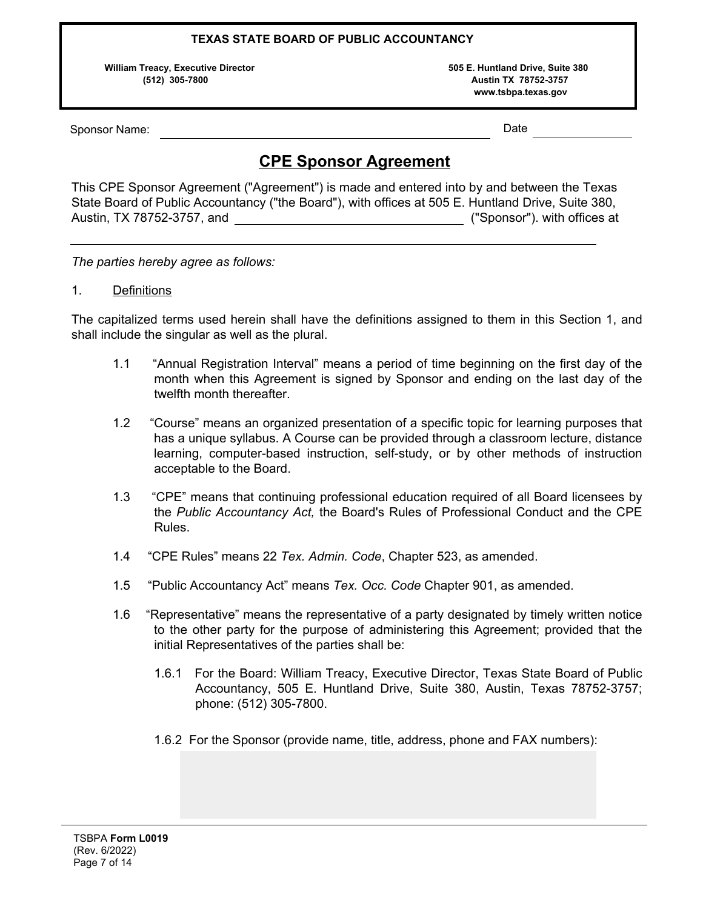**William Treacy, Executive Director 505 E. Huntland Drive, Suite 380** 

 **(512) 305-7800 Austin TX 78752-3757 www.tsbpa.texas.gov**

Sponsor Name: Date and Date and Date and Date and Date and Date and Date and Date and Date and Date and Date and Date and Date and Date and Date and Date and Date and Date and Date and Date and Date and Date and Date and D

# **CPE Sponsor Agreement**

This CPE Sponsor Agreement ("Agreement") is made and entered into by and between the Texas State Board of Public Accountancy ("the Board"), with offices at 505 E. Huntland Drive, Suite 380, Austin, TX 78752-3757, and ("Sponsor"). with offices at

*The parties hereby agree as follows:* 

### 1. Definitions

The capitalized terms used herein shall have the definitions assigned to them in this Section 1, and shall include the singular as well as the plural.

- 1.1 "Annual Registration Interval" means a period of time beginning on the first day of the month when this Agreement is signed by Sponsor and ending on the last day of the twelfth month thereafter.
- 1.2 "Course" means an organized presentation of a specific topic for learning purposes that has a unique syllabus. A Course can be provided through a classroom lecture, distance learning, computer-based instruction, self-study, or by other methods of instruction acceptable to the Board.
- 1.3 "CPE" means that continuing professional education required of all Board licensees by the *Public Accountancy Act,* the Board's Rules of Professional Conduct and the CPE Rules.
- 1.4 "CPE Rules" means 22 *Tex. Admin. Code*, Chapter 523, as amended.
- 1.5 "Public Accountancy Act" means *Tex. Occ. Code* Chapter 901, as amended.
- 1.6 "Representative" means the representative of a party designated by timely written notice to the other party for the purpose of administering this Agreement; provided that the initial Representatives of the parties shall be:
	- 1.6.1 For the Board: William Treacy, Executive Director, Texas State Board of Public Accountancy, 505 E. Huntland Drive, Suite 380, Austin, Texas 78752-3757; phone: (512) 305-7800.
	- 1.6.2 For the Sponsor (provide name, title, address, phone and FAX numbers):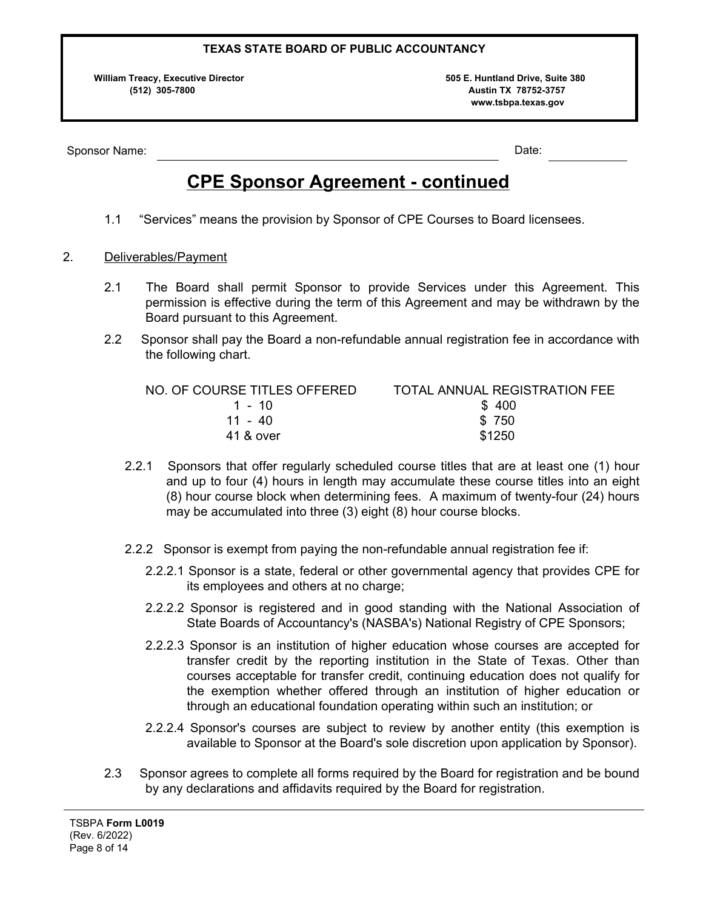**William Treacy, Executive Director 505 E. Huntland Drive, Suite 380 (512) 305-7800 Austin TX 78752-3757 www.tsbpa.texas.gov**

Sponsor Name: Note: Note: Note: Note: Note: Note: Note: Note: Note: Note: Note: Note: Note: Note: Note: Note: Note: Note: Note: Note: Note: Note: Note: Note: Note: Note: Note: Note: Note: Note: Note: Note: Note: Note: Note

# **CPE Sponsor Agreement - continued**

1.1 "Services" means the provision by Sponsor of CPE Courses to Board licensees.

### 2. Deliverables/Payment

- 2.1 The Board shall permit Sponsor to provide Services under this Agreement. This permission is effective during the term of this Agreement and may be withdrawn by the Board pursuant to this Agreement.
- 2.2 Sponsor shall pay the Board a non-refundable annual registration fee in accordance with the following chart.

| NO. OF COURSE TITLES OFFERED | TOTAL ANNUAL REGISTRATION FEE |
|------------------------------|-------------------------------|
| 1 - 10                       | \$400                         |
| 11 - 40                      | \$750                         |
| 41 & over                    | \$1250                        |

- 2.2.1 Sponsors that offer regularly scheduled course titles that are at least one (1) hour and up to four (4) hours in length may accumulate these course titles into an eight (8) hour course block when determining fees. A maximum of twenty-four (24) hours may be accumulated into three (3) eight (8) hour course blocks.
- 2.2.2 Sponsor is exempt from paying the non-refundable annual registration fee if:
	- 2.2.2.1 Sponsor is a state, federal or other governmental agency that provides CPE for its employees and others at no charge;
	- 2.2.2.2 Sponsor is registered and in good standing with the National Association of State Boards of Accountancy's (NASBA's) National Registry of CPE Sponsors;
	- 2.2.2.3 Sponsor is an institution of higher education whose courses are accepted for transfer credit by the reporting institution in the State of Texas. Other than courses acceptable for transfer credit, continuing education does not qualify for the exemption whether offered through an institution of higher education or through an educational foundation operating within such an institution; or
	- 2.2.2.4 Sponsor's courses are subject to review by another entity (this exemption is available to Sponsor at the Board's sole discretion upon application by Sponsor).
- 2.3 Sponsor agrees to complete all forms required by the Board for registration and be bound by any declarations and affidavits required by the Board for registration.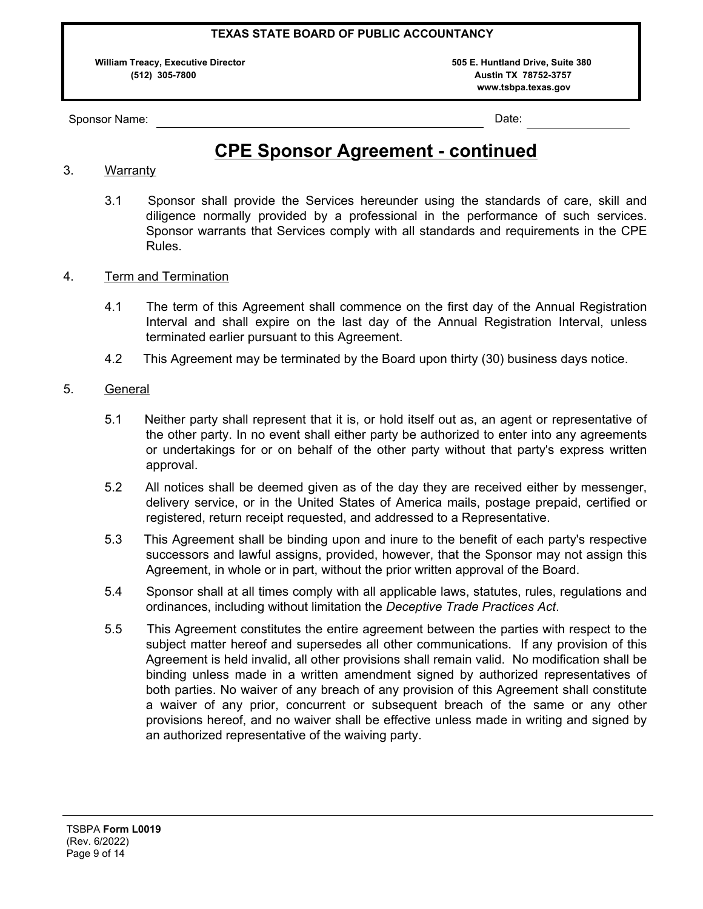**William Treacy, Executive Director 505 E. Huntland Drive, Suite 380** 

 **(512) 305-7800 Austin TX 78752-3757 www.tsbpa.texas.gov**

Sponsor Name: Name: Name: 2008. Example: 2008. Example: 2008. Example: 2008. Example: 2008. Date: 2008. Date:

# **CPE Sponsor Agreement - continued**

## 3. Warranty

- 3.1 Sponsor shall provide the Services hereunder using the standards of care, skill and diligence normally provided by a professional in the performance of such services. Sponsor warrants that Services comply with all standards and requirements in the CPE Rules.
- 4. Term and Termination
	- 4.1 The term of this Agreement shall commence on the first day of the Annual Registration Interval and shall expire on the last day of the Annual Registration Interval, unless terminated earlier pursuant to this Agreement.
	- 4.2 This Agreement may be terminated by the Board upon thirty (30) business days notice.

### 5. General

- 5.1 Neither party shall represent that it is, or hold itself out as, an agent or representative of the other party. In no event shall either party be authorized to enter into any agreements or undertakings for or on behalf of the other party without that party's express written approval.
- 5.2 All notices shall be deemed given as of the day they are received either by messenger, delivery service, or in the United States of America mails, postage prepaid, certified or registered, return receipt requested, and addressed to a Representative.
- 5.3 This Agreement shall be binding upon and inure to the benefit of each party's respective successors and lawful assigns, provided, however, that the Sponsor may not assign this Agreement, in whole or in part, without the prior written approval of the Board.
- 5.4 Sponsor shall at all times comply with all applicable laws, statutes, rules, regulations and ordinances, including without limitation the *Deceptive Trade Practices Act*.
- 5.5 This Agreement constitutes the entire agreement between the parties with respect to the subject matter hereof and supersedes all other communications. If any provision of this Agreement is held invalid, all other provisions shall remain valid. No modification shall be binding unless made in a written amendment signed by authorized representatives of both parties. No waiver of any breach of any provision of this Agreement shall constitute a waiver of any prior, concurrent or subsequent breach of the same or any other provisions hereof, and no waiver shall be effective unless made in writing and signed by an authorized representative of the waiving party.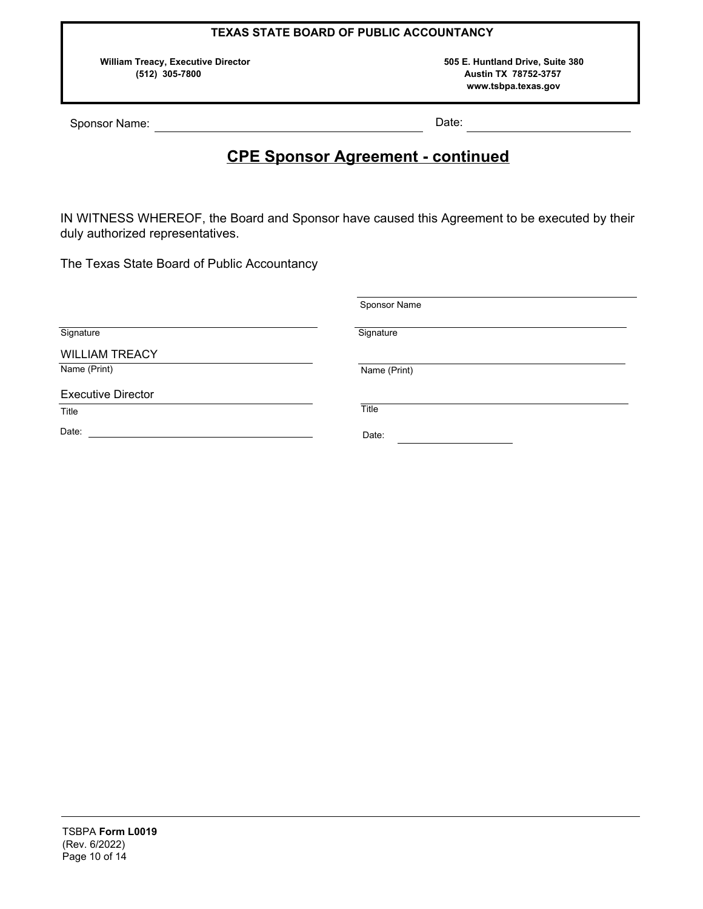**William Treacy, Executive Director 505 E. Huntland Drive, Suite 380** 

 **(512) 305-7800 Austin TX 78752-3757 www.tsbpa.texas.gov**

Sponsor Name: Date:

# **CPE Sponsor Agreement - continued**

IN WITNESS WHEREOF, the Board and Sponsor have caused this Agreement to be executed by their duly authorized representatives.

The Texas State Board of Public Accountancy

|                           | Sponsor Name |  |  |  |  |
|---------------------------|--------------|--|--|--|--|
| Signature                 | Signature    |  |  |  |  |
| <b>WILLIAM TREACY</b>     |              |  |  |  |  |
| Name (Print)              | Name (Print) |  |  |  |  |
| <b>Executive Director</b> |              |  |  |  |  |
| Title                     | Title        |  |  |  |  |
| Date:                     | Date:        |  |  |  |  |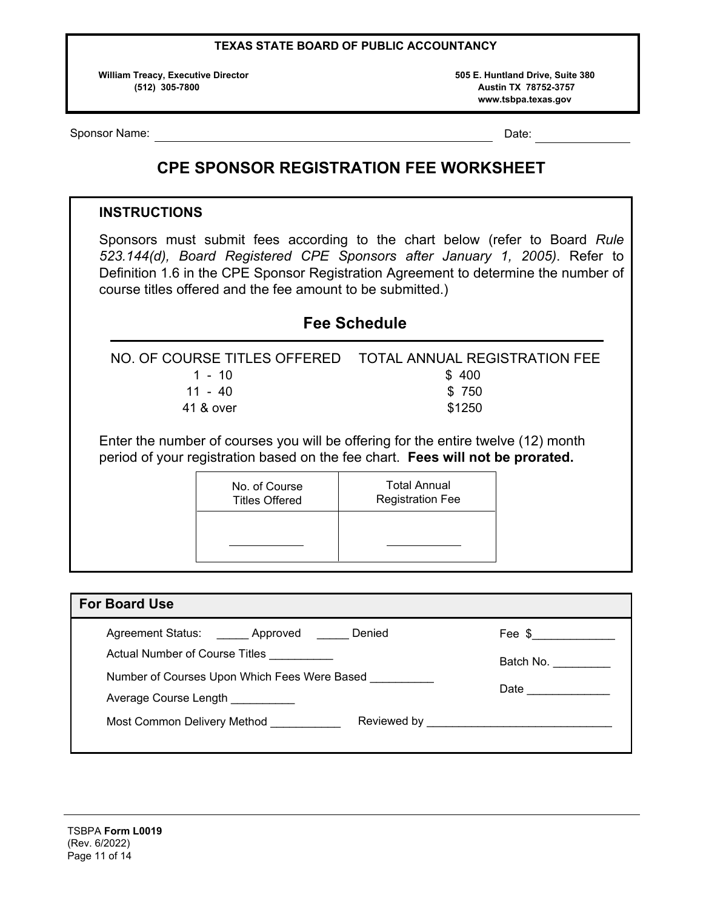**William Treacy, Executive Director 505 E. Huntland Drive, Suite 380** 

 **(512) 305-7800 Austin TX 78752-3757 www.tsbpa.texas.gov**

Sponsor Name: Date: Date: Date: Date: Date: Date: Date: Date: Date: Date: Date: Date: Date: Date: Date: Date: Date: Date: Date: Date: Date: Date: Date: Date: Date: Date: Date: Date: Date: Date: Date: Date: Date: Date: Date

## **CPE SPONSOR REGISTRATION FEE WORKSHEET**

## **INSTRUCTIONS**

Sponsors must submit fees according to the chart below (refer to Board *Rule 523.144(d), Board Registered CPE Sponsors after January 1, 2005)*. Refer to Definition 1.6 in the CPE Sponsor Registration Agreement to determine the number of course titles offered and the fee amount to be submitted.)

|           | NO. OF COURSE TITLES OFFERED  TOTAL ANNUAL REGISTRATION FEE |
|-----------|-------------------------------------------------------------|
| 1 - 10    | \$400                                                       |
| 11 - 40   | \$750                                                       |
| 41 & over | \$1250                                                      |
|           |                                                             |

**Fee Schedule**

Enter the number of courses you will be offering for the entire twelve (12) month period of your registration based on the fee chart. **Fees will not be prorated.**

| No. of Course         | <b>Total Annual</b>     |
|-----------------------|-------------------------|
| <b>Titles Offered</b> | <b>Registration Fee</b> |
|                       |                         |

| <b>For Board Use</b>                                                                       |                                                                                                                                                                                                                                                                                                                                     |
|--------------------------------------------------------------------------------------------|-------------------------------------------------------------------------------------------------------------------------------------------------------------------------------------------------------------------------------------------------------------------------------------------------------------------------------------|
| Agreement Status: _______ Approved _______ Denied<br><b>Actual Number of Course Titles</b> | Fee $\frac{1}{2}$ $\frac{1}{2}$ $\frac{1}{2}$ $\frac{1}{2}$ $\frac{1}{2}$ $\frac{1}{2}$ $\frac{1}{2}$ $\frac{1}{2}$ $\frac{1}{2}$ $\frac{1}{2}$ $\frac{1}{2}$ $\frac{1}{2}$ $\frac{1}{2}$ $\frac{1}{2}$ $\frac{1}{2}$ $\frac{1}{2}$ $\frac{1}{2}$ $\frac{1}{2}$ $\frac{1}{2}$ $\frac{1}{2}$ $\frac{1}{2}$ $\frac{1}{2$<br>Batch No. |
| Number of Courses Upon Which Fees Were Based<br>Average Course Length                      |                                                                                                                                                                                                                                                                                                                                     |
| Most Common Delivery Method                                                                |                                                                                                                                                                                                                                                                                                                                     |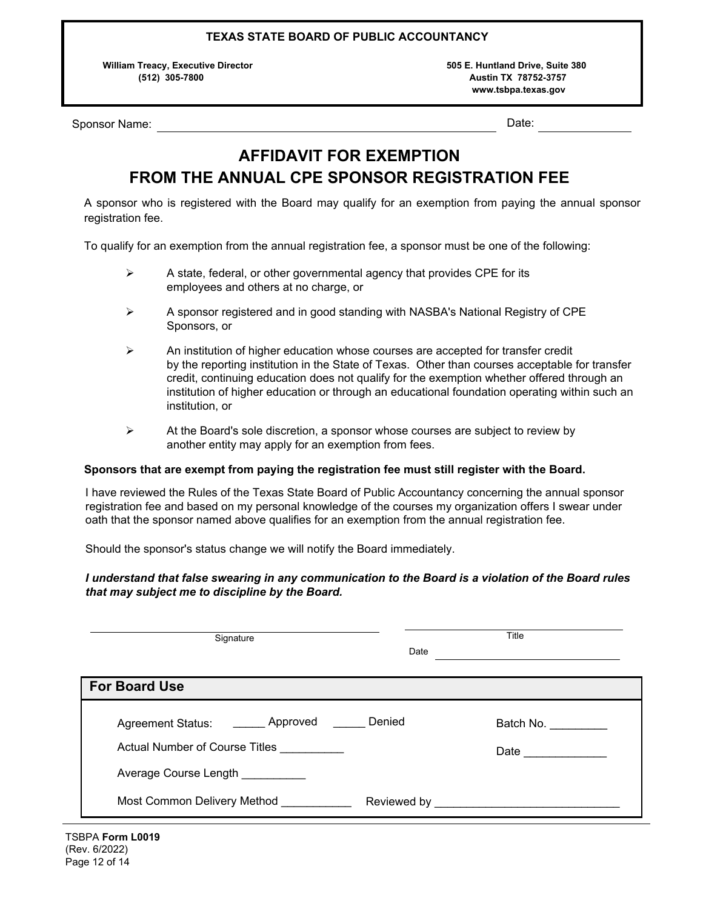**William Treacy, Executive Director 505 E. Huntland Drive, Suite 380** 

 **(512) 305-7800 Austin TX 78752-3757 www.tsbpa.texas.gov**

Sponsor Name: Name: Name and Date: Name and Date: Name and Date: Name and Date: Name and Date: Name and Date: N

# **AFFIDAVIT FOR EXEMPTION FROM THE ANNUAL CPE SPONSOR REGISTRATION FEE**

A sponsor who is registered with the Board may qualify for an exemption from paying the annual sponsor registration fee.

To qualify for an exemption from the annual registration fee, a sponsor must be one of the following:

- $\triangleright$  A state, federal, or other governmental agency that provides CPE for its employees and others at no charge, or
- $\triangleright$  A sponsor registered and in good standing with NASBA's National Registry of CPE Sponsors, or
- $\triangleright$  An institution of higher education whose courses are accepted for transfer credit by the reporting institution in the State of Texas. Other than courses acceptable for transfer credit, continuing education does not qualify for the exemption whether offered through an institution of higher education or through an educational foundation operating within such an institution, or
- $\triangleright$  At the Board's sole discretion, a sponsor whose courses are subject to review by another entity may apply for an exemption from fees.

### **Sponsors that are exempt from paying the registration fee must still register with the Board.**

 $\overline{a}$ I have reviewed the Rules of the Texas State Board of Public Accountancy concerning the annual sponsor registration fee and based on my personal knowledge of the courses my organization offers I swear under oath that the sponsor named above qualifies for an exemption from the annual registration fee.

Should the sponsor's status change we will notify the Board immediately.

### *I understand that false swearing in any communication to the Board is a violation of the Board rules that may subject me to discipline by the Board.*

| Signature                                                                                     | Title<br>Date |                                   |  |  |  |  |
|-----------------------------------------------------------------------------------------------|---------------|-----------------------------------|--|--|--|--|
| <b>For Board Use</b>                                                                          |               |                                   |  |  |  |  |
| Agreement Status: _______ Approved<br>Actual Number of Course Titles<br>Average Course Length | Denied        | Batch No.<br>Date $\qquad \qquad$ |  |  |  |  |
| Most Common Delivery Method                                                                   |               | Reviewed by <b>Example 20</b>     |  |  |  |  |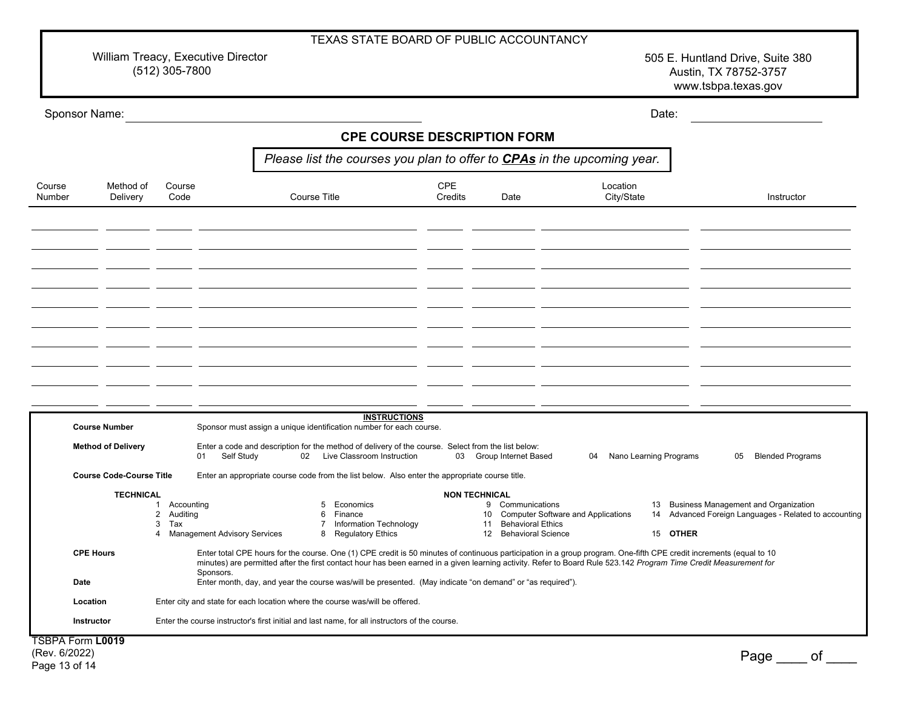William Treacy, Executive Director (512) 305-7800

505 E. Huntland Drive, Suite 380 Austin, TX 78752-3757 www.tsbpa.texas.gov

| Sponsor Name:    |                                 |                                                           |                                |                                                                                |                                                                                                                                                                                                                                                                                                                                          |                     |                       |    |                                                                       |                                       |    |                        | Date:    |    |                                         |                                                       |
|------------------|---------------------------------|-----------------------------------------------------------|--------------------------------|--------------------------------------------------------------------------------|------------------------------------------------------------------------------------------------------------------------------------------------------------------------------------------------------------------------------------------------------------------------------------------------------------------------------------------|---------------------|-----------------------|----|-----------------------------------------------------------------------|---------------------------------------|----|------------------------|----------|----|-----------------------------------------|-------------------------------------------------------|
|                  |                                 |                                                           |                                |                                                                                | <b>CPE COURSE DESCRIPTION FORM</b>                                                                                                                                                                                                                                                                                                       |                     |                       |    |                                                                       |                                       |    |                        |          |    |                                         |                                                       |
|                  |                                 |                                                           |                                | Please list the courses you plan to offer to <b>CPAs</b> in the upcoming year. |                                                                                                                                                                                                                                                                                                                                          |                     |                       |    |                                                                       |                                       |    |                        |          |    |                                         |                                                       |
| Course<br>Number | Method of<br>Delivery           | Course<br>Code                                            |                                |                                                                                | Course Title                                                                                                                                                                                                                                                                                                                             |                     | <b>CPE</b><br>Credits |    | Date                                                                  |                                       |    | Location<br>City/State |          |    | Instructor                              |                                                       |
|                  |                                 |                                                           |                                |                                                                                |                                                                                                                                                                                                                                                                                                                                          |                     |                       |    |                                                                       |                                       |    |                        |          |    |                                         |                                                       |
|                  |                                 |                                                           |                                |                                                                                |                                                                                                                                                                                                                                                                                                                                          |                     |                       |    |                                                                       |                                       |    |                        |          |    |                                         |                                                       |
|                  |                                 |                                                           |                                |                                                                                |                                                                                                                                                                                                                                                                                                                                          |                     |                       |    |                                                                       |                                       |    |                        |          |    |                                         |                                                       |
|                  |                                 |                                                           |                                |                                                                                |                                                                                                                                                                                                                                                                                                                                          |                     |                       |    |                                                                       |                                       |    |                        |          |    |                                         |                                                       |
|                  |                                 |                                                           |                                |                                                                                |                                                                                                                                                                                                                                                                                                                                          |                     |                       |    |                                                                       |                                       |    |                        |          |    |                                         |                                                       |
|                  |                                 |                                                           |                                |                                                                                |                                                                                                                                                                                                                                                                                                                                          |                     |                       |    |                                                                       |                                       |    |                        |          |    |                                         |                                                       |
|                  |                                 |                                                           |                                |                                                                                |                                                                                                                                                                                                                                                                                                                                          |                     |                       |    |                                                                       |                                       |    |                        |          |    |                                         |                                                       |
|                  | <b>Course Number</b>            |                                                           |                                |                                                                                | Sponsor must assign a unique identification number for each course.                                                                                                                                                                                                                                                                      | <b>INSTRUCTIONS</b> |                       |    |                                                                       |                                       |    |                        |          |    |                                         |                                                       |
|                  | <b>Method of Delivery</b>       |                                                           | Self Study<br>01               |                                                                                | Enter a code and description for the method of delivery of the course. Select from the list below:<br>02 Live Classroom Instruction                                                                                                                                                                                                      |                     |                       |    | 03 Group Internet Based                                               |                                       | 04 | Nano Learning Programs |          | 05 | <b>Blended Programs</b>                 |                                                       |
|                  | <b>Course Code-Course Title</b> |                                                           |                                |                                                                                | Enter an appropriate course code from the list below. Also enter the appropriate course title.                                                                                                                                                                                                                                           |                     |                       |    |                                                                       |                                       |    |                        |          |    |                                         |                                                       |
|                  | <b>TECHNICAL</b>                | Accounting<br>1<br>$\overline{2}$<br>Auditing<br>3<br>Tax | 4 Management Advisory Services |                                                                                | 5 Economics<br>Finance<br>6<br>Information Technology<br>$\overline{7}$<br>8 Regulatory Ethics                                                                                                                                                                                                                                           |                     | <b>NON TECHNICAL</b>  | 11 | 9 Communications<br><b>Behavioral Ethics</b><br>12 Behavioral Science | 10 Computer Software and Applications |    |                        | 15 OTHER |    | 13 Business Management and Organization | 14 Advanced Foreign Languages - Related to accounting |
|                  | <b>CPE Hours</b>                |                                                           | Sponsors.                      |                                                                                | Enter total CPE hours for the course. One (1) CPE credit is 50 minutes of continuous participation in a group program. One-fifth CPE credit increments (equal to 10<br>minutes) are permitted after the first contact hour has been earned in a given learning activity. Refer to Board Rule 523.142 Program Time Credit Measurement for |                     |                       |    |                                                                       |                                       |    |                        |          |    |                                         |                                                       |
| Date             |                                 |                                                           |                                |                                                                                | Enter month, day, and year the course was/will be presented. (May indicate "on demand" or "as required").                                                                                                                                                                                                                                |                     |                       |    |                                                                       |                                       |    |                        |          |    |                                         |                                                       |
|                  | Location                        |                                                           |                                |                                                                                | Enter city and state for each location where the course was/will be offered.                                                                                                                                                                                                                                                             |                     |                       |    |                                                                       |                                       |    |                        |          |    |                                         |                                                       |
|                  | Instructor                      |                                                           |                                |                                                                                | Enter the course instructor's first initial and last name, for all instructors of the course.                                                                                                                                                                                                                                            |                     |                       |    |                                                                       |                                       |    |                        |          |    |                                         |                                                       |